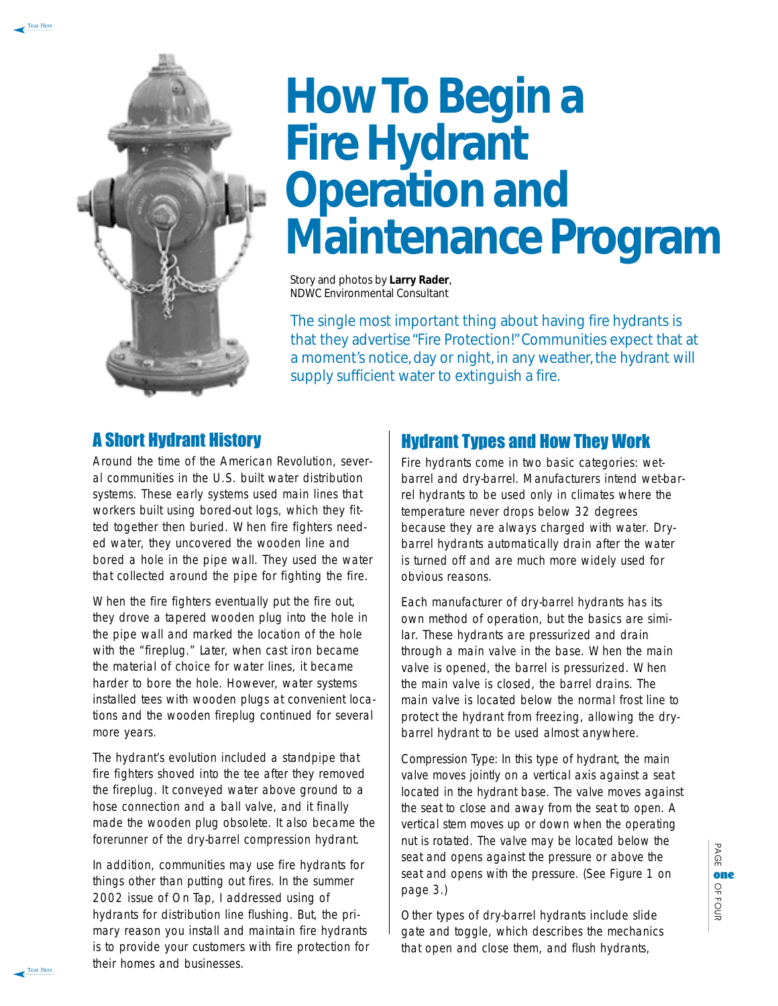

Tear Here

# **How To Begin a Fire Hydrant Operation and Maintenance Program**

Story and photos by **Larry Rader**, NDWC Environmental Consultant

The single most important thing about having fire hydrants is that they advertise "Fire Protection!" Communities expect that at a moment's notice, day or night, in any weather, the hydrant will supply sufficient water to extinguish a fire.

#### A Short Hydrant History

Around the time of the American Revolution, several communities in the U.S. built water distribution systems. These early systems used main lines that workers built using bored-out logs, which they fitted together then buried. When fire fighters needed water, they uncovered the wooden line and bored a hole in the pipe wall. They used the water that collected around the pipe for fighting the fire.

When the fire fighters eventually put the fire out, they drove a tapered wooden plug into the hole in the pipe wall and marked the location of the hole with the "fireplug." Later, when cast iron became the material of choice for water lines, it became harder to bore the hole. However, water systems installed tees with wooden plugs at convenient locations and the wooden fireplug continued for several more years.

The hydrant's evolution included a standpipe that fire fighters shoved into the tee after they removed the fireplug. It conveyed water above ground to a hose connection and a ball valve, and it finally made the wooden plug obsolete. It also became the forerunner of the dry-barrel compression hydrant.

In addition, communities may use fire hydrants for things other than putting out fires. In the summer 2002 issue of *On Tap*, I addressed using of hydrants for distribution line flushing. But, the primary reason you install and maintain fire hydrants is to provide your customers with fire protection for their homes and businesses.

# Hydrant Types and How They Work

Fire hydrants come in two basic categories: wetbarrel and dry-barrel. Manufacturers intend wet-barrel hydrants to be used only in climates where the temperature never drops below 32 degrees because they are always charged with water. Drybarrel hydrants automatically drain after the water is turned off and are much more widely used for obvious reasons.

Each manufacturer of dry-barrel hydrants has its own method of operation, but the basics are similar. These hydrants are pressurized and drain through a main valve in the base. When the main valve is opened, the barrel is pressurized. When the main valve is closed, the barrel drains. The main valve is located below the normal frost line to protect the hydrant from freezing, allowing the drybarrel hydrant to be used almost anywhere.

Compression Type: In this type of hydrant, the main valve moves jointly on a vertical axis against a seat located in the hydrant base. The valve moves against the seat to close and away from the seat to open. A vertical stem moves up or down when the operating nut is rotated. The valve may be located below the seat and opens against the pressure or above the seat and opens with the pressure. (See Figure 1 on page 3.)

Other types of dry-barrel hydrants include slide gate and toggle, which describes the mechanics that open and close them, and flush hydrants,

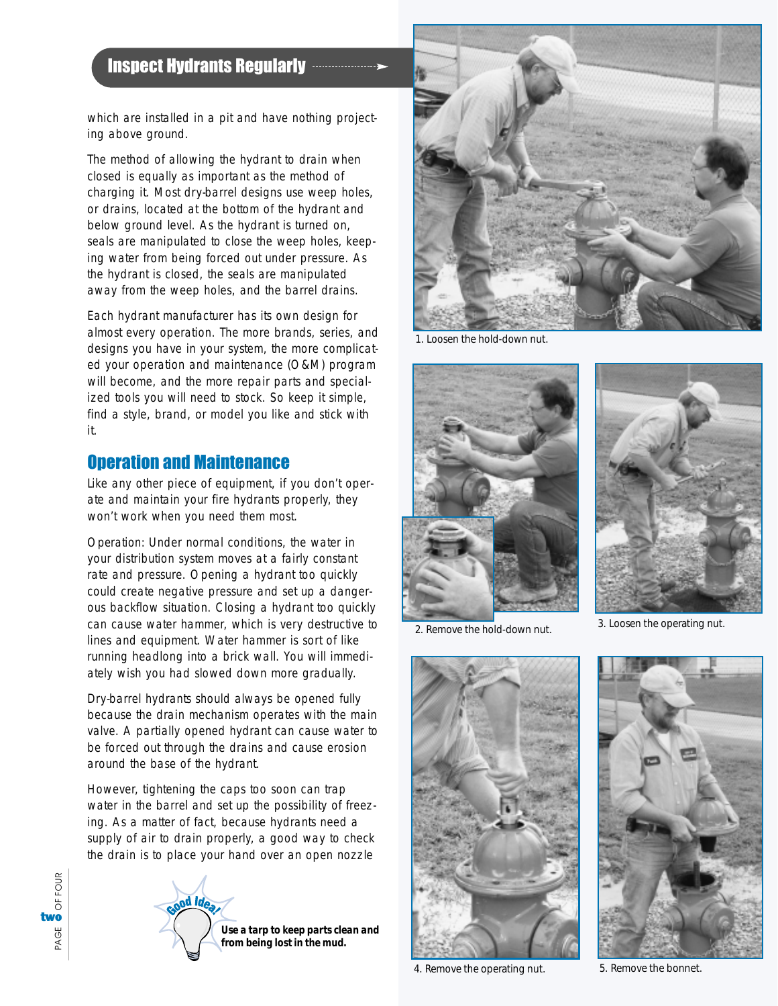# Inspect Hydrants Regularly

which are installed in a pit and have nothing projecting above ground.

The method of allowing the hydrant to drain when closed is equally as important as the method of charging it. Most dry-barrel designs use weep holes, or drains, located at the bottom of the hydrant and below ground level. As the hydrant is turned on, seals are manipulated to close the weep holes, keeping water from being forced out under pressure. As the hydrant is closed, the seals are manipulated away from the weep holes, and the barrel drains.

Each hydrant manufacturer has its own design for almost every operation. The more brands, series, and designs you have in your system, the more complicated your operation and maintenance (O&M) program will become, and the more repair parts and specialized tools you will need to stock. So keep it simple, find a style, brand, or model you like and stick with it.

#### Operation and Maintenance

Like any other piece of equipment, if you don't operate and maintain your fire hydrants properly, they won't work when you need them most.

Operation: Under normal conditions, the water in your distribution system moves at a fairly constant rate and pressure. Opening a hydrant too quickly could create negative pressure and set up a dangerous backflow situation. Closing a hydrant too quickly can cause water hammer, which is very destructive to lines and equipment. Water hammer is sort of like running headlong into a brick wall. You will immediately wish you had slowed down more gradually.

Dry-barrel hydrants should always be opened fully because the drain mechanism operates with the main valve. A partially opened hydrant can cause water to be forced out through the drains and cause erosion around the base of the hydrant.

However, tightening the caps too soon can trap water in the barrel and set up the possibility of freezing. As a matter of fact, because hydrants need a supply of air to drain properly, a good way to check the drain is to place your hand over an open nozzle





1. Loosen the hold-down nut.





2. Remove the hold-down nut. 3. Loosen the operating nut.



4. Remove the operating nut. 5. Remove the bonnet.

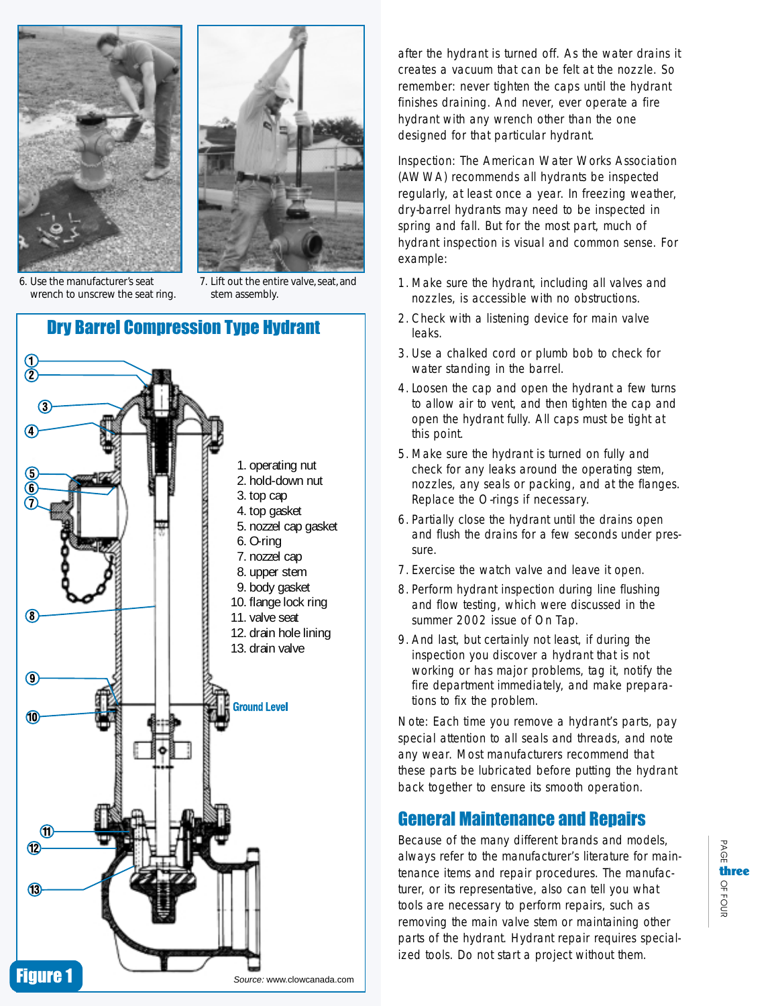



6. Use the manufacturer's seat wrench to unscrew the seat ring.

7. Lift out the entire valve, seat, and stem assembly.

# Dry Barrel Compression Type Hydrant



after the hydrant is turned off. As the water drains it creates a vacuum that can be felt at the nozzle. So remember: never tighten the caps until the hydrant finishes draining. And never, ever operate a fire hydrant with any wrench other than the one designed for that particular hydrant.

Inspection: The American Water Works Association (AWWA) recommends all hydrants be inspected regularly, at least once a year. In freezing weather, dry-barrel hydrants may need to be inspected in spring and fall. But for the most part, much of hydrant inspection is visual and common sense. For example:

- 1. Make sure the hydrant, including all valves and nozzles, is accessible with no obstructions.
- 2. Check with a listening device for main valve leaks.
- 3. Use a chalked cord or plumb bob to check for water standing in the barrel.
- 4. Loosen the cap and open the hydrant a few turns to allow air to vent, and then tighten the cap and open the hydrant fully. All caps must be tight at this point.
- 5. Make sure the hydrant is turned on fully and check for any leaks around the operating stem, nozzles, any seals or packing, and at the flanges. Replace the O-rings if necessary.
- 6. Partially close the hydrant until the drains open and flush the drains for a few seconds under pressure.
- 7. Exercise the watch valve and leave it open.
- 8. Perform hydrant inspection during line flushing and flow testing, which were discussed in the summer 2002 issue of *On Tap.*
- 9. And last, but certainly not least, if during the inspection you discover a hydrant that is not working or has major problems, tag it, notify the fire department immediately, and make preparations to fix the problem.

Note: Each time you remove a hydrant's parts, pay special attention to all seals and threads, and note any wear. Most manufacturers recommend that these parts be lubricated before putting the hydrant back together to ensure its smooth operation.

### General Maintenance and Repairs

Because of the many different brands and models, always refer to the manufacturer's literature for maintenance items and repair procedures. The manufacturer, or its representative, also can tell you what tools are necessary to perform repairs, such as removing the main valve stem or maintaining other parts of the hydrant. Hydrant repair requires specialized tools. Do not start a project without them.

PAGE OFthree<br> $^{\sf Q}_{\sf T}$ <br> $^{\sf O}_{\sf S}$